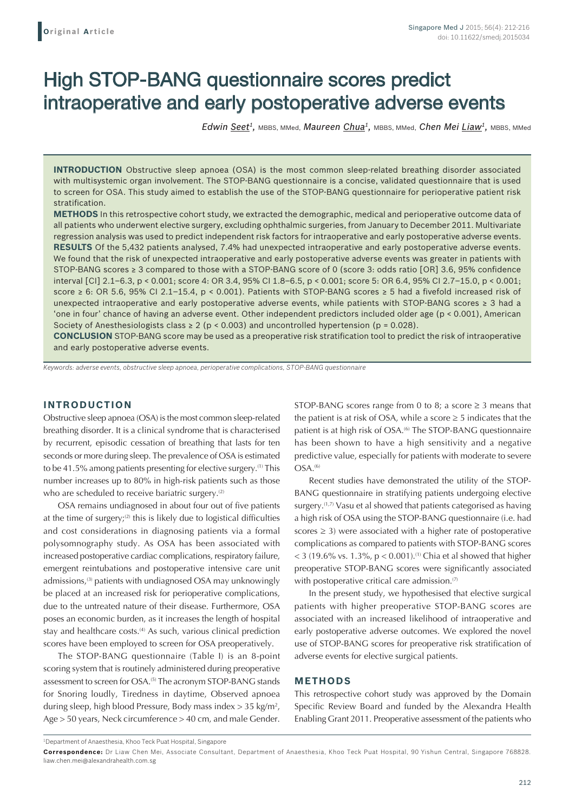# High STOP-BANG questionnaire scores predict intraoperative and early postoperative adverse events

*Edwin Seet1,* MBBS, MMed, *Maureen Chua1,* MBBS, MMed, *Chen Mei Liaw1,* MBBS, MMed

**INTRODUCTION** Obstructive sleep apnoea (OSA) is the most common sleep-related breathing disorder associated with multisystemic organ involvement. The STOP-BANG questionnaire is a concise, validated questionnaire that is used to screen for OSA. This study aimed to establish the use of the STOP-BANG questionnaire for perioperative patient risk stratification.

**METHODS** In this retrospective cohort study, we extracted the demographic, medical and perioperative outcome data of all patients who underwent elective surgery, excluding ophthalmic surgeries, from January to December 2011. Multivariate regression analysis was used to predict independent risk factors for intraoperative and early postoperative adverse events. **RESULTS** Of the 5,432 patients analysed, 7.4% had unexpected intraoperative and early postoperative adverse events. We found that the risk of unexpected intraoperative and early postoperative adverse events was greater in patients with STOP-BANG scores ≥ 3 compared to those with a STOP-BANG score of 0 (score 3: odds ratio [OR] 3.6, 95% confidence interval [CI] 2.1–6.3, p < 0.001; score 4: OR 3.4, 95% CI 1.8–6.5, p < 0.001; score 5: OR 6.4, 95% CI 2.7–15.0, p < 0.001; score ≥ 6: OR 5.6, 95% CI 2.1–15.4, p < 0.001). Patients with STOP-BANG scores ≥ 5 had a fivefold increased risk of unexpected intraoperative and early postoperative adverse events, while patients with STOP-BANG scores ≥ 3 had a 'one in four' chance of having an adverse event. Other independent predictors included older age (p < 0.001), American Society of Anesthesiologists class  $\geq 2$  (p < 0.003) and uncontrolled hypertension (p = 0.028).

**CONCLUSION** STOP-BANG score may be used as a preoperative risk stratification tool to predict the risk of intraoperative and early postoperative adverse events.

*Keywords: adverse events, obstructive sleep apnoea, perioperative complications, STOP-BANG questionnaire*

# **INTRODUCTION**

Obstructive sleep apnoea (OSA) is the most common sleep-related breathing disorder. It is a clinical syndrome that is characterised by recurrent, episodic cessation of breathing that lasts for ten seconds or more during sleep. The prevalence of OSA is estimated to be 41.5% among patients presenting for elective surgery.(1) This number increases up to 80% in high-risk patients such as those who are scheduled to receive bariatric surgery.<sup>(2)</sup>

OSA remains undiagnosed in about four out of five patients at the time of surgery; $(2)$  this is likely due to logistical difficulties and cost considerations in diagnosing patients via a formal polysomnography study. As OSA has been associated with increased postoperative cardiac complications, respiratory failure, emergent reintubations and postoperative intensive care unit admissions,<sup>(3)</sup> patients with undiagnosed OSA may unknowingly be placed at an increased risk for perioperative complications, due to the untreated nature of their disease. Furthermore, OSA poses an economic burden, as it increases the length of hospital stay and healthcare costs.<sup>(4)</sup> As such, various clinical prediction scores have been employed to screen for OSA preoperatively.

The STOP-BANG questionnaire (Table I) is an 8-point scoring system that is routinely administered during preoperative assessment to screen for OSA.<sup>(5)</sup> The acronym STOP-BANG stands for Snoring loudly, Tiredness in daytime, Observed apnoea during sleep, high blood Pressure, Body mass index > 35 kg/m2 , Age > 50 years, Neck circumference > 40 cm, and male Gender.

STOP-BANG scores range from 0 to 8; a score  $\geq$  3 means that the patient is at risk of OSA, while a score  $\geq$  5 indicates that the patient is at high risk of OSA.<sup>66</sup> The STOP-BANG questionnaire has been shown to have a high sensitivity and a negative predictive value, especially for patients with moderate to severe  $OSA.<sup>(6)</sup>$ 

Recent studies have demonstrated the utility of the STOP-BANG questionnaire in stratifying patients undergoing elective surgery.<sup>(1,7)</sup> Vasu et al showed that patients categorised as having a high risk of OSA using the STOP-BANG questionnaire (i.e. had scores  $\geq$  3) were associated with a higher rate of postoperative complications as compared to patients with STOP-BANG scores  $<$  3 (19.6% vs. 1.3%, p  $<$  0.001).<sup>(1)</sup> Chia et al showed that higher preoperative STOP-BANG scores were significantly associated with postoperative critical care admission.<sup>(7)</sup>

In the present study, we hypothesised that elective surgical patients with higher preoperative STOP-BANG scores are associated with an increased likelihood of intraoperative and early postoperative adverse outcomes. We explored the novel use of STOP-BANG scores for preoperative risk stratification of adverse events for elective surgical patients.

# **METHODS**

This retrospective cohort study was approved by the Domain Specific Review Board and funded by the Alexandra Health Enabling Grant 2011. Preoperative assessment of the patients who

<sup>1</sup> Department of Anaesthesia, Khoo Teck Puat Hospital, Singapore

**Correspondence:** Dr Liaw Chen Mei, Associate Consultant, Department of Anaesthesia, Khoo Teck Puat Hospital, 90 Yishun Central, Singapore 768828. liaw.chen.mei@alexandrahealth.com.sg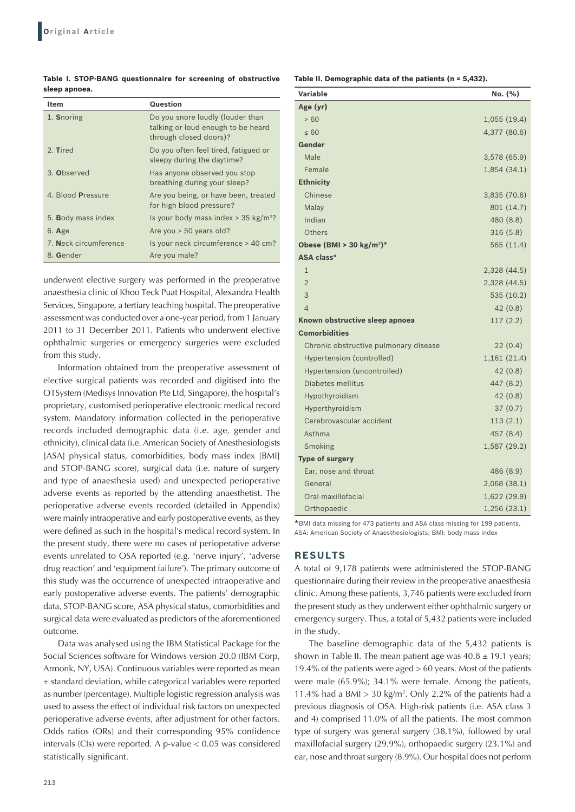**Table I. STOP‑BANG questionnaire for screening of obstructive sleep apnoea.**

| <b>Item</b>           | Question                                                                                         |
|-----------------------|--------------------------------------------------------------------------------------------------|
| 1. Snoring            | Do you snore loudly (louder than<br>talking or loud enough to be heard<br>through closed doors)? |
| 2. Tired              | Do you often feel tired, fatigued or<br>sleepy during the daytime?                               |
| 3. Observed           | Has anyone observed you stop<br>breathing during your sleep?                                     |
| 4. Blood Pressure     | Are you being, or have been, treated<br>for high blood pressure?                                 |
| 5. Body mass index    | Is your body mass index $>$ 35 kg/m <sup>2</sup> ?                                               |
| $6.$ Age              | Are you > 50 years old?                                                                          |
| 7. Neck circumference | Is your neck circumference > 40 cm?                                                              |
| 8. Gender             | Are you male?                                                                                    |

underwent elective surgery was performed in the preoperative anaesthesia clinic of Khoo Teck Puat Hospital, Alexandra Health Services, Singapore, a tertiary teaching hospital. The preoperative assessment was conducted over a one-year period, from 1 January 2011 to 31 December 2011. Patients who underwent elective ophthalmic surgeries or emergency surgeries were excluded from this study.

Information obtained from the preoperative assessment of elective surgical patients was recorded and digitised into the OTSystem (Medisys Innovation Pte Ltd, Singapore), the hospital's proprietary, customised perioperative electronic medical record system. Mandatory information collected in the perioperative records included demographic data (i.e. age, gender and ethnicity), clinical data (i.e. American Society of Anesthesiologists [ASA] physical status, comorbidities, body mass index [BMI] and STOP-BANG score), surgical data (i.e. nature of surgery and type of anaesthesia used) and unexpected perioperative adverse events as reported by the attending anaesthetist. The perioperative adverse events recorded (detailed in Appendix) were mainly intraoperative and early postoperative events, as they were defined as such in the hospital's medical record system. In the present study, there were no cases of perioperative adverse events unrelated to OSA reported (e.g. 'nerve injury', 'adverse drug reaction' and 'equipment failure'). The primary outcome of this study was the occurrence of unexpected intraoperative and early postoperative adverse events. The patients' demographic data, STOP-BANG score, ASA physical status, comorbidities and surgical data were evaluated as predictors of the aforementioned outcome.

Data was analysed using the IBM Statistical Package for the Social Sciences software for Windows version 20.0 (IBM Corp, Armonk, NY, USA). Continuous variables were reported as mean ± standard deviation, while categorical variables were reported as number (percentage). Multiple logistic regression analysis was used to assess the effect of individual risk factors on unexpected perioperative adverse events, after adjustment for other factors. Odds ratios (ORs) and their corresponding 95% confidence intervals (CIs) were reported. A p-value < 0.05 was considered statistically significant.

**Table II. Demographic data of the patients (n = 5,432).**

| <b>Variable</b>                       | No. (%)      |
|---------------------------------------|--------------|
| Age (yr)                              |              |
| >60                                   | 1,055(19.4)  |
| $\leq 60$                             | 4,377 (80.6) |
| Gender                                |              |
| Male                                  | 3,578 (65.9) |
| Female                                | 1,854(34.1)  |
| <b>Ethnicity</b>                      |              |
| Chinese                               | 3,835 (70.6) |
| Malay                                 | 801 (14.7)   |
| Indian                                | 480 (8.8)    |
| Others                                | 316(5.8)     |
| Obese (BMI > 30 $\text{kg/m}^2$ )*    | 565 (11.4)   |
| <b>ASA class*</b>                     |              |
| $\mathbf{1}$                          | 2,328 (44.5) |
| $\overline{2}$                        | 2,328 (44.5) |
| 3                                     | 535 (10.2)   |
| $\overline{4}$                        | 42(0.8)      |
| Known obstructive sleep apnoea        | 117(2.2)     |
| <b>Comorbidities</b>                  |              |
| Chronic obstructive pulmonary disease | 22(0.4)      |
| Hypertension (controlled)             | 1,161(21.4)  |
| Hypertension (uncontrolled)           | 42(0.8)      |
| Diabetes mellitus                     | 447 (8.2)    |
| Hypothyroidism                        | 42 (0.8)     |
| Hyperthyroidism                       | 37(0.7)      |
| Cerebrovascular accident              | 113(2.1)     |
| Asthma                                | 457 (8.4)    |
| Smoking                               | 1,587 (29.2) |
| <b>Type of surgery</b>                |              |
| Ear, nose and throat                  | 486 (8.9)    |
| General                               | 2,068 (38.1) |
| Oral maxillofacial                    | 1,622 (29.9) |
| Orthopaedic                           | 1,256(23.1)  |

\*BMI data missing for 473 patients and ASA class missing for 199 patients. ASA: American Society of Anaesthesiologists; BMI: body mass index

### **RESULTS**

A total of 9,178 patients were administered the STOP-BANG questionnaire during their review in the preoperative anaesthesia clinic. Among these patients, 3,746 patients were excluded from the present study as they underwent either ophthalmic surgery or emergency surgery. Thus, a total of 5,432 patients were included in the study.

The baseline demographic data of the 5,432 patients is shown in Table II. The mean patient age was  $40.8 \pm 19.1$  years; 19.4% of the patients were aged > 60 years. Most of the patients were male (65.9%); 34.1% were female. Among the patients, 11.4% had a BMI  $> 30 \text{ kg/m}^2$ . Only 2.2% of the patients had a previous diagnosis of OSA. High-risk patients (i.e. ASA class 3 and 4) comprised 11.0% of all the patients. The most common type of surgery was general surgery (38.1%), followed by oral maxillofacial surgery (29.9%), orthopaedic surgery (23.1%) and ear, nose and throat surgery (8.9%). Our hospital does not perform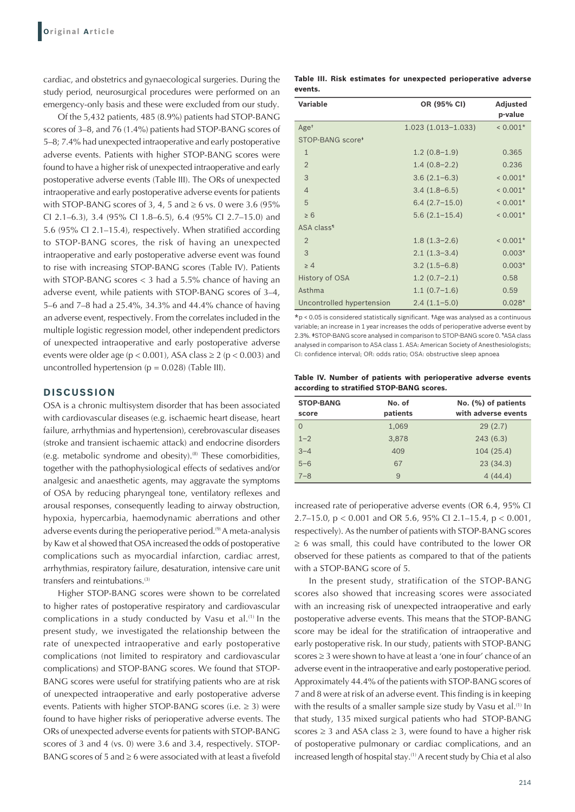cardiac, and obstetrics and gynaecological surgeries. During the study period, neurosurgical procedures were performed on an emergency-only basis and these were excluded from our study.

Of the 5,432 patients, 485 (8.9%) patients had STOP-BANG scores of 3–8, and 76 (1.4%) patients had STOP-BANG scores of 5–8; 7.4% had unexpected intraoperative and early postoperative adverse events. Patients with higher STOP-BANG scores were found to have a higher risk of unexpected intraoperative and early postoperative adverse events (Table III). The ORs of unexpected intraoperative and early postoperative adverse events for patients with STOP-BANG scores of 3, 4, 5 and  $\geq$  6 vs. 0 were 3.6 (95%) CI 2.1–6.3), 3.4 (95% CI 1.8–6.5), 6.4 (95% CI 2.7–15.0) and 5.6 (95% CI 2.1–15.4), respectively. When stratified according to STOP-BANG scores, the risk of having an unexpected intraoperative and early postoperative adverse event was found to rise with increasing STOP-BANG scores (Table IV). Patients with STOP-BANG scores < 3 had a 5.5% chance of having an adverse event, while patients with STOP-BANG scores of 3–4, 5–6 and 7–8 had a 25.4%, 34.3% and 44.4% chance of having an adverse event, respectively. From the correlates included in the multiple logistic regression model, other independent predictors of unexpected intraoperative and early postoperative adverse events were older age ( $p < 0.001$ ), ASA class  $\ge 2$  ( $p < 0.003$ ) and uncontrolled hypertension ( $p = 0.028$ ) (Table III).

#### **DISCUSSION**

OSA is a chronic multisystem disorder that has been associated with cardiovascular diseases (e.g. ischaemic heart disease, heart failure, arrhythmias and hypertension), cerebrovascular diseases (stroke and transient ischaemic attack) and endocrine disorders (e.g. metabolic syndrome and obesity).<sup>(8)</sup> These comorbidities, together with the pathophysiological effects of sedatives and/or analgesic and anaesthetic agents, may aggravate the symptoms of OSA by reducing pharyngeal tone, ventilatory reflexes and arousal responses, consequently leading to airway obstruction, hypoxia, hypercarbia, haemodynamic aberrations and other adverse events during the perioperative period.<sup>(9)</sup> A meta-analysis by Kaw et al showed that OSA increased the odds of postoperative complications such as myocardial infarction, cardiac arrest, arrhythmias, respiratory failure, desaturation, intensive care unit transfers and reintubations.<sup>(3)</sup>

Higher STOP-BANG scores were shown to be correlated to higher rates of postoperative respiratory and cardiovascular complications in a study conducted by Vasu et al.<sup>(1)</sup> In the present study, we investigated the relationship between the rate of unexpected intraoperative and early postoperative complications (not limited to respiratory and cardiovascular complications) and STOP-BANG scores. We found that STOP-BANG scores were useful for stratifying patients who are at risk of unexpected intraoperative and early postoperative adverse events. Patients with higher STOP-BANG scores (i.e.  $\geq$  3) were found to have higher risks of perioperative adverse events. The ORs of unexpected adverse events for patients with STOP-BANG scores of 3 and 4 (vs. 0) were 3.6 and 3.4, respectively. STOP-BANG scores of 5 and  $\geq$  6 were associated with at least a fivefold **Table III. Risk estimates for unexpected perioperative adverse events.**

| Variable                     | OR (95% CI)            | <b>Adjusted</b><br>p-value |
|------------------------------|------------------------|----------------------------|
| Age <sup>†</sup>             | $1.023(1.013 - 1.033)$ | $< 0.001*$                 |
| STOP-BANG score <sup>*</sup> |                        |                            |
| $\mathbf{1}$                 | $1.2(0.8-1.9)$         | 0.365                      |
| $\overline{2}$               | $1.4(0.8-2.2)$         | 0.236                      |
| 3                            | $3.6(2.1-6.3)$         | $< 0.001*$                 |
| $\overline{4}$               | $3.4(1.8-6.5)$         | $< 0.001*$                 |
| 5                            | $6.4(2.7-15.0)$        | $< 0.001*$                 |
| $\geq 6$                     | $5.6(2.1-15.4)$        | $< 0.001*$                 |
| ASA class <sup>1</sup>       |                        |                            |
| $\overline{2}$               | $1.8(1.3-2.6)$         | $< 0.001*$                 |
| 3                            | $2.1(1.3-3.4)$         | $0.003*$                   |
| >4                           | $3.2(1.5-6.8)$         | $0.003*$                   |
| History of OSA               | $1.2(0.7-2.1)$         | 0.58                       |
| Asthma                       | $1.1(0.7-1.6)$         | 0.59                       |
| Uncontrolled hypertension    | $2.4(1.1-5.0)$         | $0.028*$                   |

 $*p < 0.05$  is considered statistically significant. tAge was analysed as a continuous variable; an increase in 1 year increases the odds of perioperative adverse event by 2.3%.  $*$ STOP-BANG score analysed in comparison to STOP-BANG score 0.  $*$ ASA class analysed in comparison to ASA class 1. ASA: American Society of Anesthesiologists; CI: confidence interval; OR: odds ratio; OSA: obstructive sleep apnoea

**Table IV. Number of patients with perioperative adverse events according to stratified STOP‑BANG scores.**

| <b>STOP-BANG</b><br>score | No. of<br>patients | No. (%) of patients<br>with adverse events |
|---------------------------|--------------------|--------------------------------------------|
| $\Omega$                  | 1,069              | 29(2.7)                                    |
| $1 - 2$                   | 3,878              | 243(6.3)                                   |
| $3 - 4$                   | 409                | 104 (25.4)                                 |
| $5 - 6$                   | 67                 | 23(34.3)                                   |
| $7 - 8$                   | 9                  | 4(44.4)                                    |

increased rate of perioperative adverse events (OR 6.4, 95% CI 2.7–15.0, p < 0.001 and OR 5.6, 95% CI 2.1–15.4, p < 0.001, respectively). As the number of patients with STOP-BANG scores ≥ 6 was small, this could have contributed to the lower OR observed for these patients as compared to that of the patients with a STOP-BANG score of 5.

In the present study, stratification of the STOP-BANG scores also showed that increasing scores were associated with an increasing risk of unexpected intraoperative and early postoperative adverse events. This means that the STOP-BANG score may be ideal for the stratification of intraoperative and early postoperative risk. In our study, patients with STOP-BANG scores ≥ 3 were shown to have at least a 'one in four' chance of an adverse event in the intraoperative and early postoperative period. Approximately 44.4% of the patients with STOP-BANG scores of 7 and 8 were at risk of an adverse event. This finding is in keeping with the results of a smaller sample size study by Vasu et al.<sup>(1)</sup> In that study, 135 mixed surgical patients who had STOP-BANG scores  $\geq$  3 and ASA class  $\geq$  3, were found to have a higher risk of postoperative pulmonary or cardiac complications, and an increased length of hospital stay.<sup>(1)</sup> A recent study by Chia et al also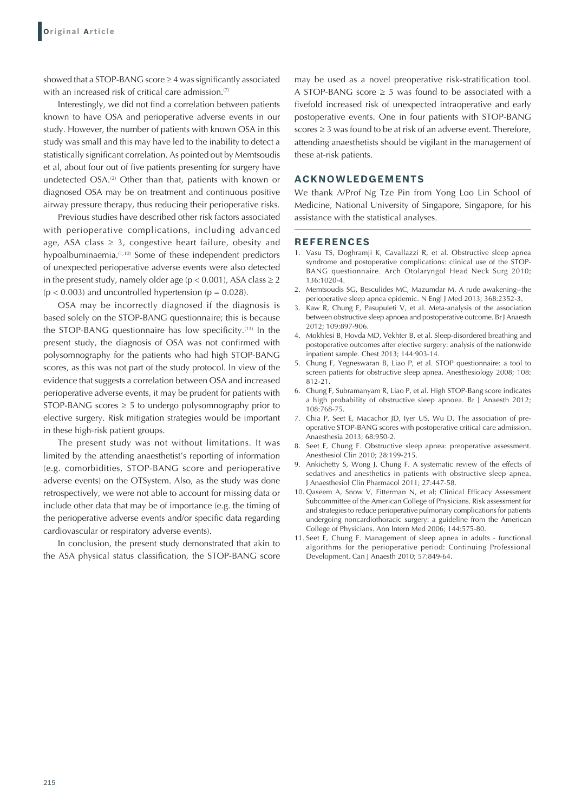showed that a STOP-BANG score ≥ 4 was significantly associated with an increased risk of critical care admission.<sup>(7)</sup>

Interestingly, we did not find a correlation between patients known to have OSA and perioperative adverse events in our study. However, the number of patients with known OSA in this study was small and this may have led to the inability to detect a statistically significant correlation. As pointed out by Memtsoudis et al, about four out of five patients presenting for surgery have undetected OSA.<sup>(2)</sup> Other than that, patients with known or diagnosed OSA may be on treatment and continuous positive airway pressure therapy, thus reducing their perioperative risks.

Previous studies have described other risk factors associated with perioperative complications, including advanced age, ASA class  $\geq$  3, congestive heart failure, obesity and hypoalbuminaemia.<sup>(1,10)</sup> Some of these independent predictors of unexpected perioperative adverse events were also detected in the present study, namely older age ( $p < 0.001$ ), ASA class  $\ge 2$  $(p < 0.003)$  and uncontrolled hypertension  $(p = 0.028)$ .

OSA may be incorrectly diagnosed if the diagnosis is based solely on the STOP-BANG questionnaire; this is because the STOP‑BANG questionnaire has low specificity.(11) In the present study, the diagnosis of OSA was not confirmed with polysomnography for the patients who had high STOP-BANG scores, as this was not part of the study protocol. In view of the evidence that suggests a correlation between OSA and increased perioperative adverse events, it may be prudent for patients with STOP-BANG scores  $\geq$  5 to undergo polysomnography prior to elective surgery. Risk mitigation strategies would be important in these high-risk patient groups.

The present study was not without limitations. It was limited by the attending anaesthetist's reporting of information (e.g. comorbidities, STOP-BANG score and perioperative adverse events) on the OTSystem. Also, as the study was done retrospectively, we were not able to account for missing data or include other data that may be of importance (e.g. the timing of the perioperative adverse events and/or specific data regarding cardiovascular or respiratory adverse events).

In conclusion, the present study demonstrated that akin to the ASA physical status classification, the STOP-BANG score may be used as a novel preoperative risk-stratification tool. A STOP-BANG score  $\geq$  5 was found to be associated with a fivefold increased risk of unexpected intraoperative and early postoperative events. One in four patients with STOP-BANG scores ≥ 3 was found to be at risk of an adverse event. Therefore, attending anaesthetists should be vigilant in the management of these at-risk patients.

# **ACKNOWLEDGEMENTS**

We thank A/Prof Ng Tze Pin from Yong Loo Lin School of Medicine, National University of Singapore, Singapore, for his assistance with the statistical analyses.

#### **REFERENCES**

- 1. Vasu TS, Doghramji K, Cavallazzi R, et al. Obstructive sleep apnea syndrome and postoperative complications: clinical use of the STOP-BANG questionnaire. Arch Otolaryngol Head Neck Surg 2010; 136:1020-4.
- 2. Memtsoudis SG, Besculides MC, Mazumdar M. A rude awakening--the perioperative sleep apnea epidemic. N Engl J Med 2013; 368:2352-3.
- Kaw R, Chung F, Pasupuleti V, et al. Meta-analysis of the association between obstructive sleep apnoea and postoperative outcome. Br J Anaesth 2012; 109:897-906.
- 4. Mokhlesi B, Hovda MD, Vekhter B, et al. Sleep-disordered breathing and postoperative outcomes after elective surgery: analysis of the nationwide inpatient sample. Chest 2013; 144:903-14.
- 5. Chung F, Yegneswaran B, Liao P, et al. STOP questionnaire: a tool to screen patients for obstructive sleep apnea. Anesthesiology 2008; 108: 812-21.
- 6. Chung F, Subramanyam R, Liao P, et al. High STOP-Bang score indicates a high probability of obstructive sleep apnoea. Br J Anaesth 2012; 108:768-75.
- 7. Chia P, Seet E, Macachor JD, Iyer US, Wu D. The association of preoperative STOP-BANG scores with postoperative critical care admission. Anaesthesia 2013; 68:950-2.
- 8. Seet E, Chung F. Obstructive sleep apnea: preoperative assessment. Anesthesiol Clin 2010; 28:199-215.
- 9. Ankichetty S, Wong J, Chung F. A systematic review of the effects of sedatives and anesthetics in patients with obstructive sleep apnea. J Anaesthesiol Clin Pharmacol 2011; 27:447-58.
- 10. Qaseem A, Snow V, Fitterman N, et al; Clinical Efficacy Assessment Subcommittee of the American College of Physicians. Risk assessment for and strategies to reduce perioperative pulmonary complications for patients undergoing noncardiothoracic surgery: a guideline from the American College of Physicians. Ann Intern Med 2006; 144:575-80.
- 11. Seet E, Chung F. Management of sleep apnea in adults functional algorithms for the perioperative period: Continuing Professional Development. Can J Anaesth 2010; 57:849-64.